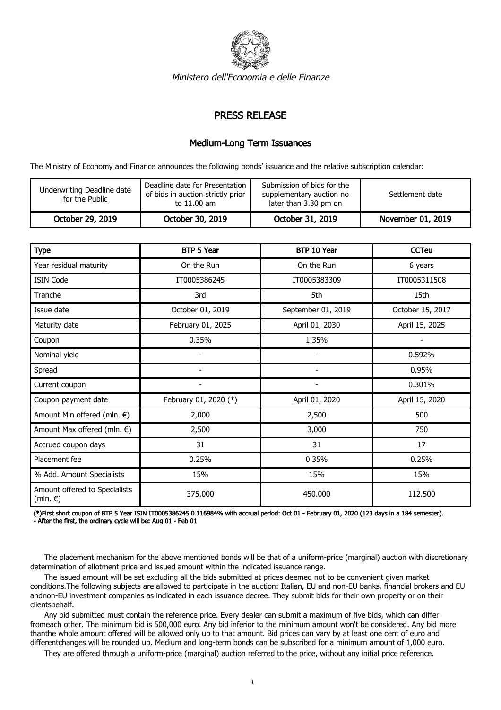

Ministero dell'Economia e delle Finanze

## PRESS RELEASE

## Medium-Long Term Issuances

The Ministry of Economy and Finance announces the following bonds' issuance and the relative subscription calendar:

| Underwriting Deadline date<br>for the Public | Deadline date for Presentation<br>of bids in auction strictly prior<br>to 11.00 am | Submission of bids for the<br>supplementary auction no<br>later than 3.30 pm on | Settlement date   |
|----------------------------------------------|------------------------------------------------------------------------------------|---------------------------------------------------------------------------------|-------------------|
| October 29, 2019                             | October 30, 2019                                                                   | October 31, 2019                                                                | November 01, 2019 |

| <b>Type</b>                                         | BTP 5 Year               | BTP 10 Year              | <b>CCTeu</b>     |
|-----------------------------------------------------|--------------------------|--------------------------|------------------|
| Year residual maturity                              | On the Run               | On the Run               | 6 years          |
| <b>ISIN Code</b>                                    | IT0005386245             | IT0005383309             | IT0005311508     |
| Tranche                                             | 3rd                      | 5th                      | 15th             |
| Issue date                                          | October 01, 2019         | September 01, 2019       | October 15, 2017 |
| Maturity date                                       | February 01, 2025        | April 01, 2030           | April 15, 2025   |
| Coupon                                              | 0.35%                    | 1.35%                    |                  |
| Nominal yield                                       |                          |                          | 0.592%           |
| Spread                                              | $\overline{\phantom{a}}$ | $\overline{\phantom{a}}$ | 0.95%            |
| Current coupon                                      | $\overline{\phantom{a}}$ | $\overline{\phantom{a}}$ | 0.301%           |
| Coupon payment date                                 | February 01, 2020 (*)    | April 01, 2020           | April 15, 2020   |
| Amount Min offered (mln. €)                         | 2,000                    | 2,500                    | 500              |
| Amount Max offered (mln. €)                         | 2,500                    | 3,000                    | 750              |
| Accrued coupon days                                 | 31                       | 31                       | 17               |
| Placement fee                                       | 0.25%                    | 0.35%                    | 0.25%            |
| % Add. Amount Specialists                           | 15%                      | 15%                      | 15%              |
| Amount offered to Specialists<br>(mln. $\epsilon$ ) | 375.000                  | 450.000                  | 112.500          |

(\*)First short coupon of BTP 5 Year ISIN IT0005386245 0.116984% with accrual period: Oct 01 - February 01, 2020 (123 days in a 184 semester). - After the first, the ordinary cycle will be: Aug 01 - Feb 01

 The placement mechanism for the above mentioned bonds will be that of a uniform-price (marginal) auction with discretionary determination of allotment price and issued amount within the indicated issuance range.

 The issued amount will be set excluding all the bids submitted at prices deemed not to be convenient given market conditions.The following subjects are allowed to participate in the auction: Italian, EU and non-EU banks, financial brokers and EU andnon-EU investment companies as indicated in each issuance decree. They submit bids for their own property or on their clientsbehalf.

 Any bid submitted must contain the reference price. Every dealer can submit a maximum of five bids, which can differ fromeach other. The minimum bid is 500,000 euro. Any bid inferior to the minimum amount won't be considered. Any bid more thanthe whole amount offered will be allowed only up to that amount. Bid prices can vary by at least one cent of euro and differentchanges will be rounded up. Medium and long-term bonds can be subscribed for a minimum amount of 1,000 euro.

They are offered through a uniform-price (marginal) auction referred to the price, without any initial price reference.